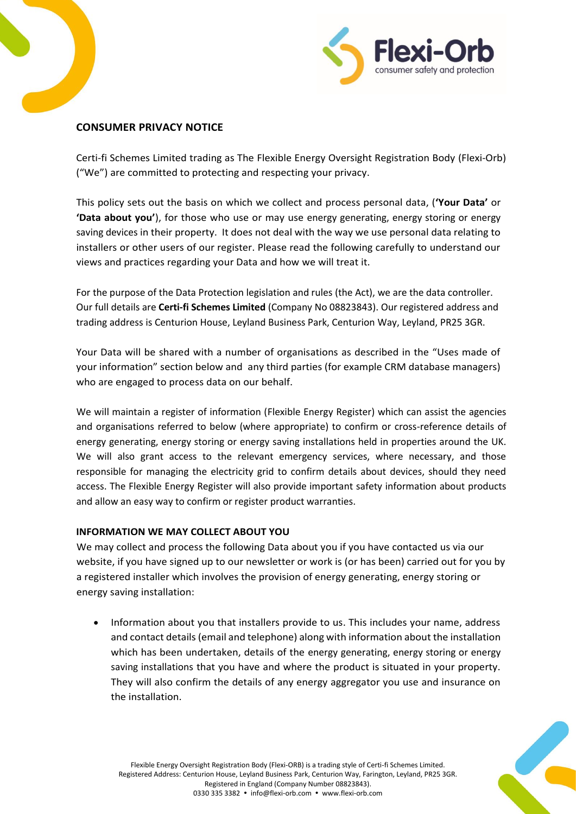



# **CONSUMER PRIVACY NOTICE**

Certi-fi Schemes Limited trading as The Flexible Energy Oversight Registration Body (Flexi-Orb) ("We") are committed to protecting and respecting your privacy.

This policy sets out the basis on which we collect and process personal data, (**'Your Data'** or **'Data about you'**), for those who use or may use energy generating, energy storing or energy saving devices in their property. It does not deal with the way we use personal data relating to installers or other users of our register. Please read the following carefully to understand our views and practices regarding your Data and how we will treat it.

For the purpose of the Data Protection legislation and rules (the Act), we are the data controller. Our full details are **Certi-fi Schemes Limited** (Company No 08823843). Our registered address and trading address is Centurion House, Leyland Business Park, Centurion Way, Leyland, PR25 3GR.

Your Data will be shared with a number of organisations as described in the "Uses made of your information" section below and any third parties (for example CRM database managers) who are engaged to process data on our behalf.

We will maintain a register of information (Flexible Energy Register) which can assist the agencies and organisations referred to below (where appropriate) to confirm or cross-reference details of energy generating, energy storing or energy saving installations held in properties around the UK. We will also grant access to the relevant emergency services, where necessary, and those responsible for managing the electricity grid to confirm details about devices, should they need access. The Flexible Energy Register will also provide important safety information about products and allow an easy way to confirm or register product warranties.

## **INFORMATION WE MAY COLLECT ABOUT YOU**

We may collect and process the following Data about you if you have contacted us via our website, if you have signed up to our newsletter or work is (or has been) carried out for you by a registered installer which involves the provision of energy generating, energy storing or energy saving installation:

• Information about you that installers provide to us. This includes your name, address and contact details (email and telephone) along with information about the installation which has been undertaken, details of the energy generating, energy storing or energy saving installations that you have and where the product is situated in your property. They will also confirm the details of any energy aggregator you use and insurance on the installation.

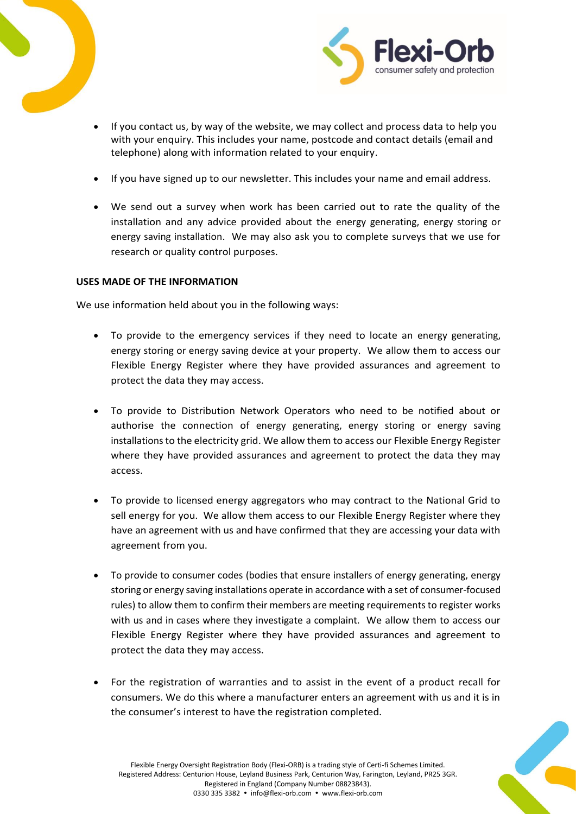



- If you contact us, by way of the website, we may collect and process data to help you with your enquiry. This includes your name, postcode and contact details (email and telephone) along with information related to your enquiry.
- If you have signed up to our newsletter. This includes your name and email address.
- We send out a survey when work has been carried out to rate the quality of the installation and any advice provided about the energy generating, energy storing or energy saving installation. We may also ask you to complete surveys that we use for research or quality control purposes.

### **USES MADE OF THE INFORMATION**

We use information held about you in the following ways:

- To provide to the emergency services if they need to locate an energy generating, energy storing or energy saving device at your property. We allow them to access our Flexible Energy Register where they have provided assurances and agreement to protect the data they may access.
- To provide to Distribution Network Operators who need to be notified about or authorise the connection of energy generating, energy storing or energy saving installationsto the electricity grid. We allow them to access our Flexible Energy Register where they have provided assurances and agreement to protect the data they may access.
- To provide to licensed energy aggregators who may contract to the National Grid to sell energy for you. We allow them access to our Flexible Energy Register where they have an agreement with us and have confirmed that they are accessing your data with agreement from you.
- To provide to consumer codes (bodies that ensure installers of energy generating, energy storing or energy saving installations operate in accordance with a set of consumer-focused rules) to allow them to confirm their members are meeting requirements to register works with us and in cases where they investigate a complaint. We allow them to access our Flexible Energy Register where they have provided assurances and agreement to protect the data they may access.
- For the registration of warranties and to assist in the event of a product recall for consumers. We do this where a manufacturer enters an agreement with us and it is in the consumer's interest to have the registration completed.

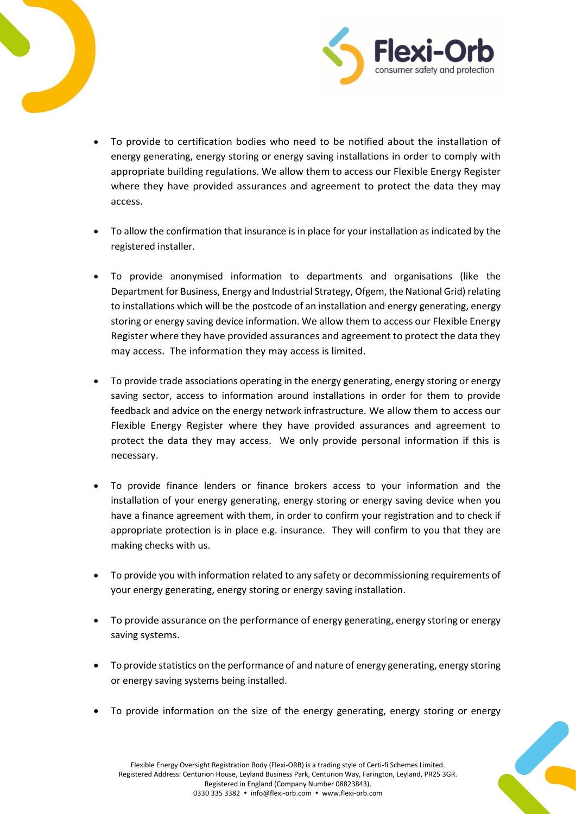



- To provide to certification bodies who need to be notified about the installation of energy generating, energy storing or energy saving installations in order to comply with appropriate building regulations. We allow them to access our Flexible Energy Register where they have provided assurances and agreement to protect the data they may access.
- To allow the confirmation that insurance is in place for your installation as indicated by the registered installer.
- To provide anonymised information to departments and organisations (like the Department for Business, Energy and Industrial Strategy, Ofgem, the National Grid) relating to installations which will be the postcode of an installation and energy generating, energy storing or energy saving device information. We allow them to access our Flexible Energy Register where they have provided assurances and agreement to protect the data they may access. The information they may access is limited.
- To provide trade associations operating in the energy generating, energy storing or energy saving sector, access to information around installations in order for them to provide feedback and advice on the energy network infrastructure. We allow them to access our Flexible Energy Register where they have provided assurances and agreement to protect the data they may access. We only provide personal information if this is necessary.
- To provide finance lenders or finance brokers access to your information and the installation of your energy generating, energy storing or energy saving device when you have a finance agreement with them, in order to confirm your registration and to check if appropriate protection is in place e.g. insurance. They will confirm to you that they are making checks with us.
- To provide you with information related to any safety or decommissioning requirements of your energy generating, energy storing or energy saving installation.
- To provide assurance on the performance of energy generating, energy storing or energy saving systems.
- To provide statistics on the performance of and nature of energy generating, energy storing or energy saving systems being installed.
- To provide information on the size of the energy generating, energy storing or energy

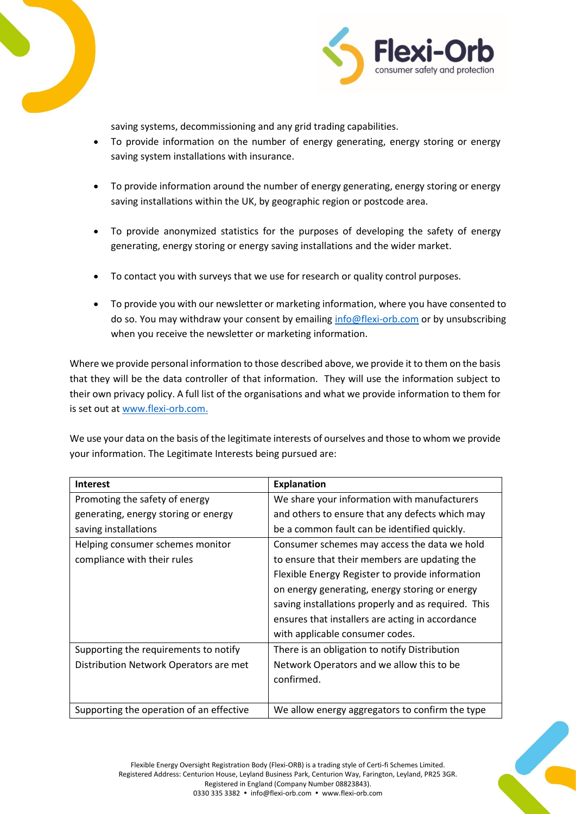



saving systems, decommissioning and any grid trading capabilities.

- To provide information on the number of energy generating, energy storing or energy saving system installations with insurance.
- To provide information around the number of energy generating, energy storing or energy saving installations within the UK, by geographic region or postcode area.
- To provide anonymized statistics for the purposes of developing the safety of energy generating, energy storing or energy saving installations and the wider market.
- To contact you with surveys that we use for research or quality control purposes.
- To provide you with our newsletter or marketing information, where you have consented to do so. You may withdraw your consent by emailing [info@flexi-orb.com](mailto:info@flexi-orb.com) or by unsubscribing when you receive the newsletter or marketing information.

Where we provide personal information to those described above, we provide it to them on the basis that they will be the data controller of that information. They will use the information subject to their own privacy policy. A full list of the organisations and what we provide information to them for is set out a[t www.flexi-orb.com.](http://www.flexi-orb.com/)

We use your data on the basis of the legitimate interests of ourselves and those to whom we provide your information. The Legitimate Interests being pursued are:

| <b>Interest</b>                          | <b>Explanation</b>                                  |
|------------------------------------------|-----------------------------------------------------|
| Promoting the safety of energy           | We share your information with manufacturers        |
| generating, energy storing or energy     | and others to ensure that any defects which may     |
| saving installations                     | be a common fault can be identified quickly.        |
| Helping consumer schemes monitor         | Consumer schemes may access the data we hold        |
| compliance with their rules              | to ensure that their members are updating the       |
|                                          | Flexible Energy Register to provide information     |
|                                          | on energy generating, energy storing or energy      |
|                                          | saving installations properly and as required. This |
|                                          | ensures that installers are acting in accordance    |
|                                          | with applicable consumer codes.                     |
| Supporting the requirements to notify    | There is an obligation to notify Distribution       |
| Distribution Network Operators are met   | Network Operators and we allow this to be           |
|                                          | confirmed.                                          |
|                                          |                                                     |
| Supporting the operation of an effective | We allow energy aggregators to confirm the type     |

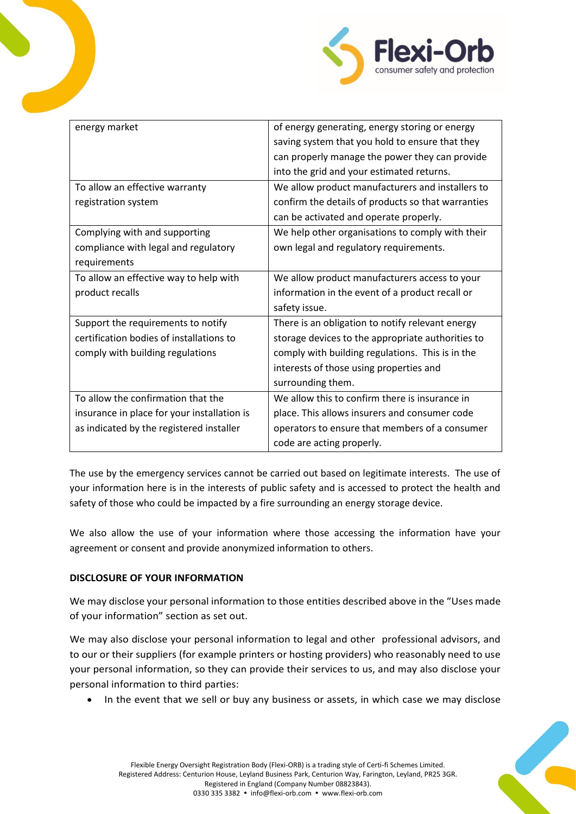

| energy market                               | of energy generating, energy storing or energy     |
|---------------------------------------------|----------------------------------------------------|
|                                             | saving system that you hold to ensure that they    |
|                                             | can properly manage the power they can provide     |
|                                             | into the grid and your estimated returns.          |
| To allow an effective warranty              | We allow product manufacturers and installers to   |
| registration system                         | confirm the details of products so that warranties |
|                                             | can be activated and operate properly.             |
| Complying with and supporting               | We help other organisations to comply with their   |
| compliance with legal and regulatory        | own legal and regulatory requirements.             |
| requirements                                |                                                    |
| To allow an effective way to help with      | We allow product manufacturers access to your      |
| product recalls                             | information in the event of a product recall or    |
|                                             | safety issue.                                      |
| Support the requirements to notify          | There is an obligation to notify relevant energy   |
| certification bodies of installations to    | storage devices to the appropriate authorities to  |
| comply with building regulations            | comply with building regulations. This is in the   |
|                                             | interests of those using properties and            |
|                                             | surrounding them.                                  |
| To allow the confirmation that the          | We allow this to confirm there is insurance in     |
| insurance in place for your installation is | place. This allows insurers and consumer code      |
| as indicated by the registered installer    | operators to ensure that members of a consumer     |
|                                             | code are acting properly.                          |

The use by the emergency services cannot be carried out based on legitimate interests. The use of your information here is in the interests of public safety and is accessed to protect the health and safety of those who could be impacted by a fire surrounding an energy storage device.

We also allow the use of your information where those accessing the information have your agreement or consent and provide anonymized information to others.

## **DISCLOSURE OF YOUR INFORMATION**

We may disclose your personal information to those entities described above in the "Uses made of your information" section as set out.

We may also disclose your personal information to legal and other professional advisors, and to our or their suppliers (for example printers or hosting providers) who reasonably need to use your personal information, so they can provide their services to us, and may also disclose your personal information to third parties:

• In the event that we sell or buy any business or assets, in which case we may disclose

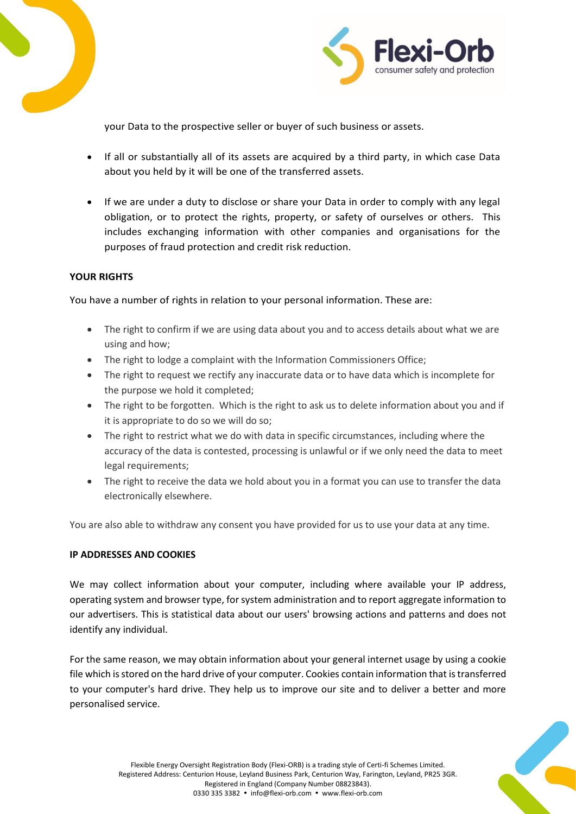



your Data to the prospective seller or buyer of such business or assets.

- If all or substantially all of its assets are acquired by a third party, in which case Data about you held by it will be one of the transferred assets.
- If we are under a duty to disclose or share your Data in order to comply with any legal obligation, or to protect the rights, property, or safety of ourselves or others. This includes exchanging information with other companies and organisations for the purposes of fraud protection and credit risk reduction.

### **YOUR RIGHTS**

You have a number of rights in relation to your personal information. These are:

- The right to confirm if we are using data about you and to access details about what we are using and how;
- The right to lodge a complaint with the Information Commissioners Office;
- The right to request we rectify any inaccurate data or to have data which is incomplete for the purpose we hold it completed;
- The right to be forgotten. Which is the right to ask us to delete information about you and if it is appropriate to do so we will do so;
- The right to restrict what we do with data in specific circumstances, including where the accuracy of the data is contested, processing is unlawful or if we only need the data to meet legal requirements;
- The right to receive the data we hold about you in a format you can use to transfer the data electronically elsewhere.

You are also able to withdraw any consent you have provided for us to use your data at any time.

#### **IP ADDRESSES AND COOKIES**

We may collect information about your computer, including where available your IP address, operating system and browser type, for system administration and to report aggregate information to our advertisers. This is statistical data about our users' browsing actions and patterns and does not identify any individual.

For the same reason, we may obtain information about your general internet usage by using a cookie file which is stored on the hard drive of your computer. Cookies contain information that is transferred to your computer's hard drive. They help us to improve our site and to deliver a better and more personalised service.

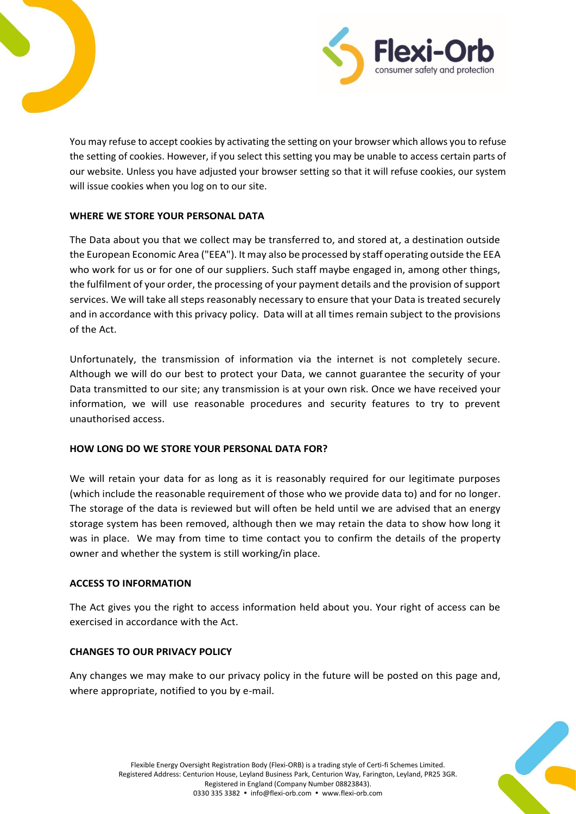



You may refuse to accept cookies by activating the setting on your browser which allows you to refuse the setting of cookies. However, if you select this setting you may be unable to access certain parts of our website. Unless you have adjusted your browser setting so that it will refuse cookies, our system will issue cookies when you log on to our site.

# **WHERE WE STORE YOUR PERSONAL DATA**

The Data about you that we collect may be transferred to, and stored at, a destination outside the European Economic Area ("EEA"). It may also be processed by staff operating outside the EEA who work for us or for one of our suppliers. Such staff maybe engaged in, among other things, the fulfilment of your order, the processing of your payment details and the provision of support services. We will take all steps reasonably necessary to ensure that your Data is treated securely and in accordance with this privacy policy. Data will at all times remain subject to the provisions of the Act.

Unfortunately, the transmission of information via the internet is not completely secure. Although we will do our best to protect your Data, we cannot guarantee the security of your Data transmitted to our site; any transmission is at your own risk. Once we have received your information, we will use reasonable procedures and security features to try to prevent unauthorised access.

## **HOW LONG DO WE STORE YOUR PERSONAL DATA FOR?**

We will retain your data for as long as it is reasonably required for our legitimate purposes (which include the reasonable requirement of those who we provide data to) and for no longer. The storage of the data is reviewed but will often be held until we are advised that an energy storage system has been removed, although then we may retain the data to show how long it was in place. We may from time to time contact you to confirm the details of the property owner and whether the system is still working/in place.

## **ACCESS TO INFORMATION**

The Act gives you the right to access information held about you. Your right of access can be exercised in accordance with the Act.

## **CHANGES TO OUR PRIVACY POLICY**

Any changes we may make to our privacy policy in the future will be posted on this page and, where appropriate, notified to you by e-mail.